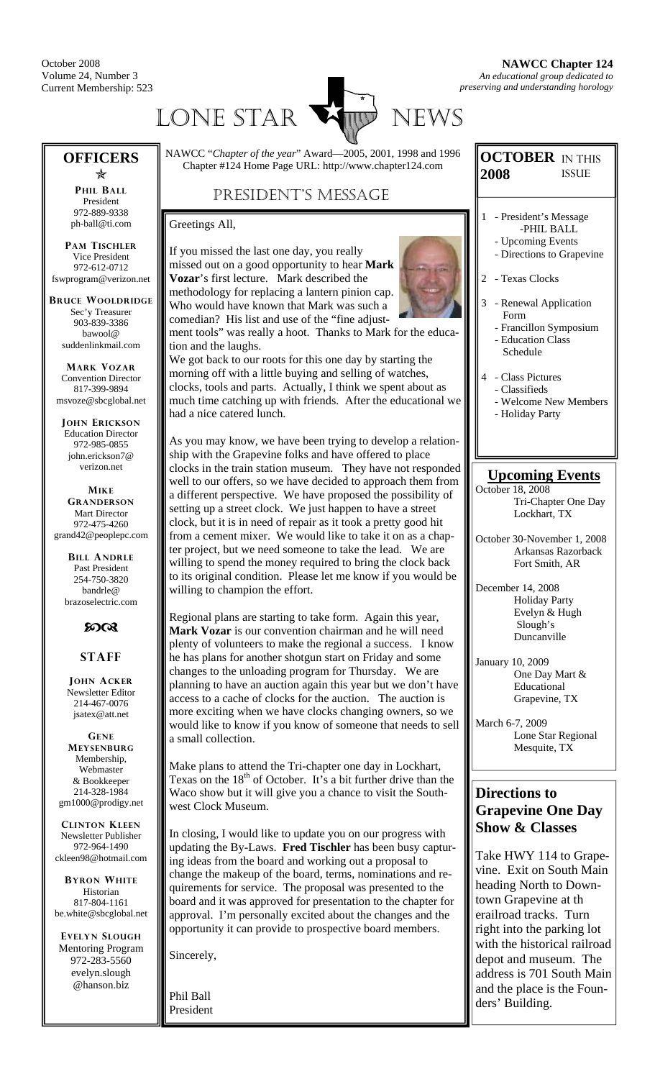October 2008 Volume 24, Number 3 Current Membership: 523



## **OFFICERS**

Õ **PHIL BALL** President 972-889-9338 ph-ball@ti.com

**PAM TISCHLER** Vice President 972-612-0712 fswprogram@verizon.net

**BRUCE WOOLDRIDGE** Sec'y Treasurer 903-839-3386 bawool@ suddenlinkmail.com

**MARK VOZAR** Convention Director 817-399-9894 msvoze@sbcglobal.net

**JOHN ERICKSON** Education Director 972-985-0855 john.erickson7@ verizon.net

**MIKE GRANDERSON** Mart Director 972-475-4260 grand42@peoplepc.com

> **BILL ANDRLE** Past President 254-750-3820 bandrle@ brazoselectric.com

#### $50C<sub>3</sub>$

#### **STAFF**

**JOHN ACKER** Newsletter Editor 214-467-0076 jsatex@att.net

**GENE MEYSENBURG** Membership, Webmaster & Bookkeeper 214-328-1984 gm1000@prodigy.net

**CLINTON KLEEN** Newsletter Publisher 972-964-1490 ckleen98@hotmail.com

**BYRON WHITE** Historian 817-804-1161 be.white@sbcglobal.net

**EVELYN SLOUGH** Mentoring Program 972-283-5560 evelyn.slough @hanson.biz

NAWCC "*Chapter of the year*" Award—2005, 2001, 1998 and 1996 Chapter #124 Home Page URL: http://www.chapter124.com

## PRESIDENT'S MESSAGE

Greetings All,

If you missed the last one day, you really missed out on a good opportunity to hear **Mark Vozar**'s first lecture. Mark described the methodology for replacing a lantern pinion cap. Who would have known that Mark was such a comedian? His list and use of the "fine adjust-



ment tools" was really a hoot. Thanks to Mark for the education and the laughs.

We got back to our roots for this one day by starting the morning off with a little buying and selling of watches, clocks, tools and parts. Actually, I think we spent about as much time catching up with friends. After the educational we had a nice catered lunch.

As you may know, we have been trying to develop a relationship with the Grapevine folks and have offered to place clocks in the train station museum. They have not responded well to our offers, so we have decided to approach them from a different perspective. We have proposed the possibility of setting up a street clock. We just happen to have a street clock, but it is in need of repair as it took a pretty good hit from a cement mixer. We would like to take it on as a chapter project, but we need someone to take the lead. We are willing to spend the money required to bring the clock back to its original condition. Please let me know if you would be willing to champion the effort.

Regional plans are starting to take form. Again this year, **Mark Vozar** is our convention chairman and he will need plenty of volunteers to make the regional a success. I know he has plans for another shotgun start on Friday and some changes to the unloading program for Thursday. We are planning to have an auction again this year but we don't have access to a cache of clocks for the auction. The auction is more exciting when we have clocks changing owners, so we would like to know if you know of someone that needs to sell a small collection.

Make plans to attend the Tri-chapter one day in Lockhart, Texas on the  $18<sup>th</sup>$  of October. It's a bit further drive than the Waco show but it will give you a chance to visit the Southwest Clock Museum.

In closing, I would like to update you on our progress with updating the By-Laws. **Fred Tischler** has been busy capturing ideas from the board and working out a proposal to change the makeup of the board, terms, nominations and requirements for service. The proposal was presented to the board and it was approved for presentation to the chapter for approval. I'm personally excited about the changes and the opportunity it can provide to prospective board members.

Sincerely,

Phil Ball President

#### **OCTOBER**  IN THIS **2008**  ISSUE

- 1 President's Message -PHIL BALL
	- Upcoming Events - Directions to Grapevine
- 2 Texas Clocks
- 3 Renewal Application Form
	- Francillon Symposium
	- Education Class Schedule
- 4 Class Pictures
	- Classifieds
	- Welcome New Members
	- Holiday Party

## **Upcoming Events**

October 18, 2008 Tri-Chapter One Day Lockhart, TX

- October 30-November 1, 2008 Arkansas Razorback Fort Smith, AR
- December 14, 2008 Holiday Party Evelyn & Hugh Slough's Duncanville
- January 10, 2009 One Day Mart & Educational Grapevine, TX
- March 6-7, 2009 Lone Star Regional Mesquite, TX

## **Directions to Grapevine One Day Show & Classes**

Take HWY 114 to Grapevine. Exit on South Main heading North to Downtown Grapevine at th erailroad tracks. Turn right into the parking lot with the historical railroad depot and museum. The address is 701 South Main and the place is the Founders' Building.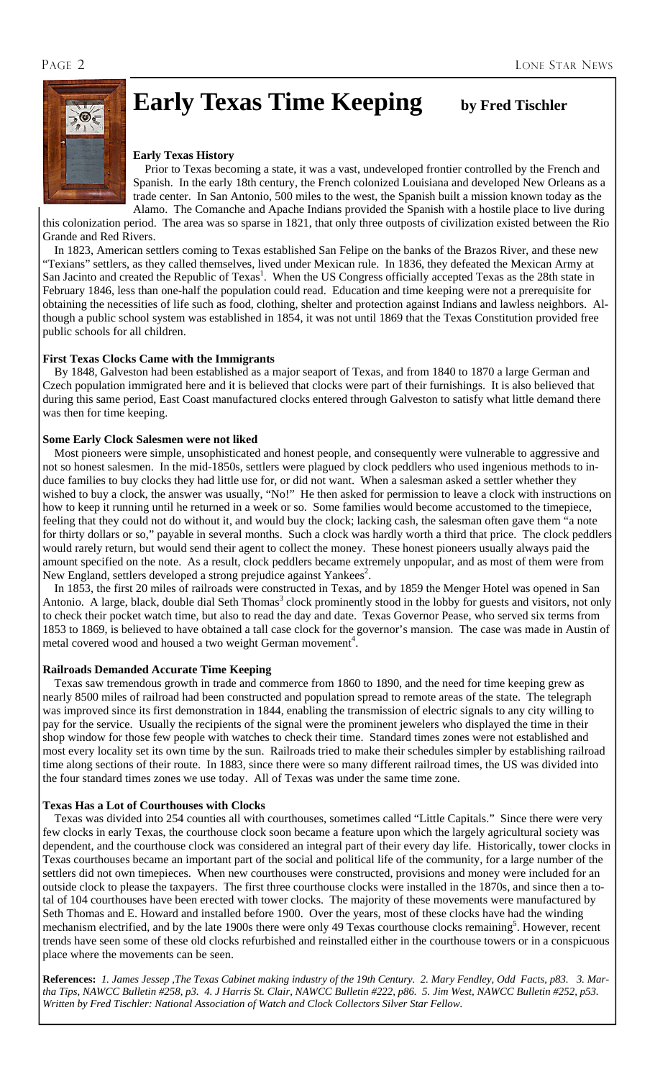

# **Early Texas Time Keeping** by Fred Tischler

#### **Early Texas History**

 Prior to Texas becoming a state, it was a vast, undeveloped frontier controlled by the French and Spanish. In the early 18th century, the French colonized Louisiana and developed New Orleans as a trade center. In San Antonio, 500 miles to the west, the Spanish built a mission known today as the Alamo. The Comanche and Apache Indians provided the Spanish with a hostile place to live during

this colonization period. The area was so sparse in 1821, that only three outposts of civilization existed between the Rio Grande and Red Rivers.

 In 1823, American settlers coming to Texas established San Felipe on the banks of the Brazos River, and these new "Texians" settlers, as they called themselves, lived under Mexican rule. In 1836, they defeated the Mexican Army at San Jacinto and created the Republic of Texas<sup>1</sup>. When the US Congress officially accepted Texas as the 28th state in February 1846, less than one-half the population could read. Education and time keeping were not a prerequisite for obtaining the necessities of life such as food, clothing, shelter and protection against Indians and lawless neighbors. Although a public school system was established in 1854, it was not until 1869 that the Texas Constitution provided free public schools for all children.

#### **First Texas Clocks Came with the Immigrants**

 By 1848, Galveston had been established as a major seaport of Texas, and from 1840 to 1870 a large German and Czech population immigrated here and it is believed that clocks were part of their furnishings. It is also believed that during this same period, East Coast manufactured clocks entered through Galveston to satisfy what little demand there was then for time keeping.

#### **Some Early Clock Salesmen were not liked**

 Most pioneers were simple, unsophisticated and honest people, and consequently were vulnerable to aggressive and not so honest salesmen. In the mid-1850s, settlers were plagued by clock peddlers who used ingenious methods to induce families to buy clocks they had little use for, or did not want. When a salesman asked a settler whether they wished to buy a clock, the answer was usually, "No!" He then asked for permission to leave a clock with instructions on how to keep it running until he returned in a week or so. Some families would become accustomed to the timepiece, feeling that they could not do without it, and would buy the clock; lacking cash, the salesman often gave them "a note for thirty dollars or so," payable in several months. Such a clock was hardly worth a third that price. The clock peddlers would rarely return, but would send their agent to collect the money. These honest pioneers usually always paid the amount specified on the note. As a result, clock peddlers became extremely unpopular, and as most of them were from New England, settlers developed a strong prejudice against Yankees<sup>2</sup>.

 In 1853, the first 20 miles of railroads were constructed in Texas, and by 1859 the Menger Hotel was opened in San Antonio. A large, black, double dial Seth Thomas<sup>3</sup> clock prominently stood in the lobby for guests and visitors, not only to check their pocket watch time, but also to read the day and date. Texas Governor Pease, who served six terms from 1853 to 1869, is believed to have obtained a tall case clock for the governor's mansion. The case was made in Austin of metal covered wood and housed a two weight German movement<sup>4</sup>.

#### **Railroads Demanded Accurate Time Keeping**

 Texas saw tremendous growth in trade and commerce from 1860 to 1890, and the need for time keeping grew as nearly 8500 miles of railroad had been constructed and population spread to remote areas of the state. The telegraph was improved since its first demonstration in 1844, enabling the transmission of electric signals to any city willing to pay for the service. Usually the recipients of the signal were the prominent jewelers who displayed the time in their shop window for those few people with watches to check their time. Standard times zones were not established and most every locality set its own time by the sun. Railroads tried to make their schedules simpler by establishing railroad time along sections of their route. In 1883, since there were so many different railroad times, the US was divided into the four standard times zones we use today. All of Texas was under the same time zone.

#### **Texas Has a Lot of Courthouses with Clocks**

 Texas was divided into 254 counties all with courthouses, sometimes called "Little Capitals." Since there were very few clocks in early Texas, the courthouse clock soon became a feature upon which the largely agricultural society was dependent, and the courthouse clock was considered an integral part of their every day life. Historically, tower clocks in Texas courthouses became an important part of the social and political life of the community, for a large number of the settlers did not own timepieces. When new courthouses were constructed, provisions and money were included for an outside clock to please the taxpayers. The first three courthouse clocks were installed in the 1870s, and since then a total of 104 courthouses have been erected with tower clocks. The majority of these movements were manufactured by Seth Thomas and E. Howard and installed before 1900. Over the years, most of these clocks have had the winding mechanism electrified, and by the late 1900s there were only 49 Texas courthouse clocks remaining<sup>5</sup>. However, recent trends have seen some of these old clocks refurbished and reinstalled either in the courthouse towers or in a conspicuous place where the movements can be seen.

**References:** *1. James Jessep ,The Texas Cabinet making industry of the 19th Century. 2. Mary Fendley, Odd Facts, p83. 3. Martha Tips, NAWCC Bulletin #258, p3. 4. J Harris St. Clair, NAWCC Bulletin #222, p86. 5. Jim West, NAWCC Bulletin #252, p53. Written by Fred Tischler: National Association of Watch and Clock Collectors Silver Star Fellow.*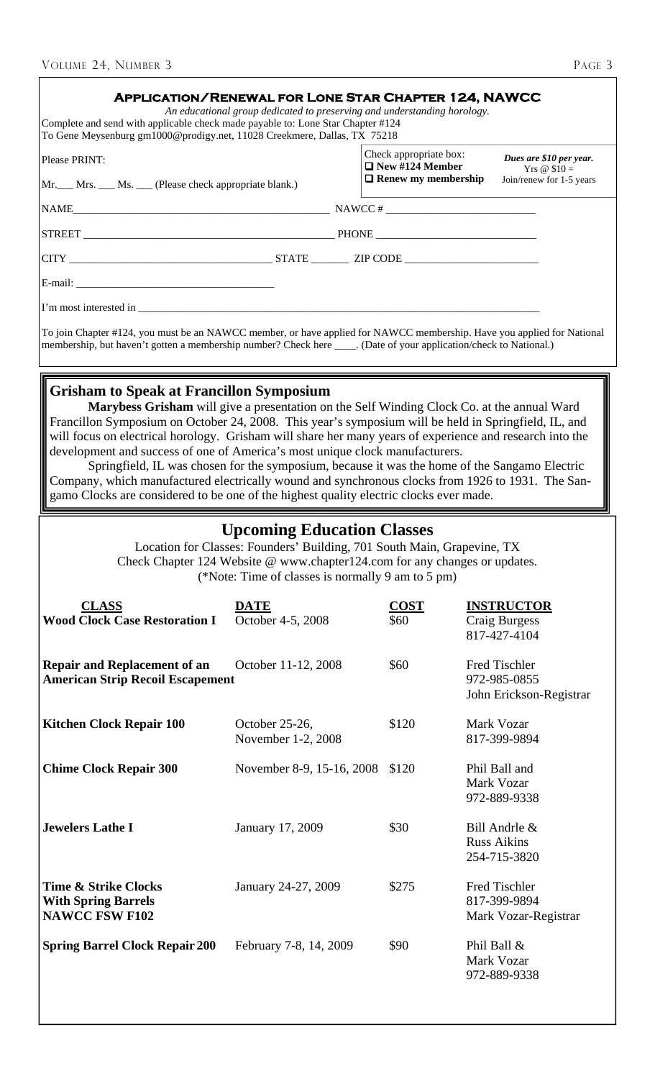| VOLUME 24, NUMBER 3                                                                                                                                                                                                                                                                                                                                                                                                                                                                                                                                                                                                                                                                                                                               |                                                                                                                                         |                                                  | PAGE 3                                                   |  |
|---------------------------------------------------------------------------------------------------------------------------------------------------------------------------------------------------------------------------------------------------------------------------------------------------------------------------------------------------------------------------------------------------------------------------------------------------------------------------------------------------------------------------------------------------------------------------------------------------------------------------------------------------------------------------------------------------------------------------------------------------|-----------------------------------------------------------------------------------------------------------------------------------------|--------------------------------------------------|----------------------------------------------------------|--|
| Complete and send with applicable check made payable to: Lone Star Chapter #124<br>To Gene Meysenburg gm1000@prodigy.net, 11028 Creekmere, Dallas, TX 75218                                                                                                                                                                                                                                                                                                                                                                                                                                                                                                                                                                                       | <b>APPLICATION/RENEWAL FOR LONE STAR CHAPTER 124, NAWCC</b><br>An educational group dedicated to preserving and understanding horology. |                                                  |                                                          |  |
| Please PRINT:                                                                                                                                                                                                                                                                                                                                                                                                                                                                                                                                                                                                                                                                                                                                     |                                                                                                                                         | Check appropriate box:<br>$\Box$ New #124 Member | Dues are \$10 per year.                                  |  |
| Mr. Mrs. Ms. Clease check appropriate blank.)                                                                                                                                                                                                                                                                                                                                                                                                                                                                                                                                                                                                                                                                                                     |                                                                                                                                         | $\Box$ Renew my membership                       | Yrs $@$10=$<br>Join/renew for 1-5 years                  |  |
| $NAME$ $NAME$ $NANCE #$                                                                                                                                                                                                                                                                                                                                                                                                                                                                                                                                                                                                                                                                                                                           |                                                                                                                                         |                                                  |                                                          |  |
|                                                                                                                                                                                                                                                                                                                                                                                                                                                                                                                                                                                                                                                                                                                                                   | STREET PHONE PHONE                                                                                                                      |                                                  |                                                          |  |
|                                                                                                                                                                                                                                                                                                                                                                                                                                                                                                                                                                                                                                                                                                                                                   |                                                                                                                                         |                                                  |                                                          |  |
|                                                                                                                                                                                                                                                                                                                                                                                                                                                                                                                                                                                                                                                                                                                                                   |                                                                                                                                         |                                                  |                                                          |  |
|                                                                                                                                                                                                                                                                                                                                                                                                                                                                                                                                                                                                                                                                                                                                                   |                                                                                                                                         |                                                  |                                                          |  |
| To join Chapter #124, you must be an NAWCC member, or have applied for NAWCC membership. Have you applied for National<br>membership, but haven't gotten a membership number? Check here ____. (Date of your application/check to National.)                                                                                                                                                                                                                                                                                                                                                                                                                                                                                                      |                                                                                                                                         |                                                  |                                                          |  |
| <b>Grisham to Speak at Francillon Symposium</b><br>Marybess Grisham will give a presentation on the Self Winding Clock Co. at the annual Ward<br>Francillon Symposium on October 24, 2008. This year's symposium will be held in Springfield, IL, and<br>will focus on electrical horology. Grisham will share her many years of experience and research into the<br>development and success of one of America's most unique clock manufacturers.<br>Springfield, IL was chosen for the symposium, because it was the home of the Sangamo Electric<br>Company, which manufactured electrically wound and synchronous clocks from 1926 to 1931. The San-<br>gamo Clocks are considered to be one of the highest quality electric clocks ever made. |                                                                                                                                         |                                                  |                                                          |  |
| <b>Upcoming Education Classes</b><br>Location for Classes: Founders' Building, 701 South Main, Grapevine, TX<br>Check Chapter 124 Website @ www.chapter124.com for any changes or updates.<br>(*Note: Time of classes is normally 9 am to 5 pm)                                                                                                                                                                                                                                                                                                                                                                                                                                                                                                   |                                                                                                                                         |                                                  |                                                          |  |
| <b>CLASS</b><br><b>Wood Clock Case Restoration I</b>                                                                                                                                                                                                                                                                                                                                                                                                                                                                                                                                                                                                                                                                                              | <b>DATE</b><br>October 4-5, 2008                                                                                                        | <b>COST</b><br>\$60                              | <b>INSTRUCTOR</b><br>Craig Burgess<br>817-427-4104       |  |
| <b>Repair and Replacement of an</b><br><b>American Strip Recoil Escapement</b>                                                                                                                                                                                                                                                                                                                                                                                                                                                                                                                                                                                                                                                                    | October 11-12, 2008                                                                                                                     | \$60                                             | Fred Tischler<br>972-985-0855<br>John Erickson-Registrar |  |
| <b>Kitchen Clock Repair 100</b>                                                                                                                                                                                                                                                                                                                                                                                                                                                                                                                                                                                                                                                                                                                   | October 25-26,<br>November 1-2, 2008                                                                                                    | \$120                                            | Mark Vozar<br>817-399-9894                               |  |
| <b>Chime Clock Repair 300</b>                                                                                                                                                                                                                                                                                                                                                                                                                                                                                                                                                                                                                                                                                                                     | November 8-9, 15-16, 2008                                                                                                               | \$120                                            | Phil Ball and<br>Mark Vozar<br>972-889-9338              |  |
| <b>Jewelers Lathe I</b>                                                                                                                                                                                                                                                                                                                                                                                                                                                                                                                                                                                                                                                                                                                           | January 17, 2009                                                                                                                        | \$30                                             | Bill Andrle &<br><b>Russ Aikins</b><br>254-715-3820      |  |
| <b>Time &amp; Strike Clocks</b><br><b>With Spring Barrels</b><br><b>NAWCC FSW F102</b>                                                                                                                                                                                                                                                                                                                                                                                                                                                                                                                                                                                                                                                            | January 24-27, 2009                                                                                                                     | \$275                                            | Fred Tischler<br>817-399-9894<br>Mark Vozar-Registrar    |  |
| <b>Spring Barrel Clock Repair 200</b>                                                                                                                                                                                                                                                                                                                                                                                                                                                                                                                                                                                                                                                                                                             | February 7-8, 14, 2009                                                                                                                  | \$90                                             | Phil Ball &<br>Mark Vozar<br>972-889-9338                |  |